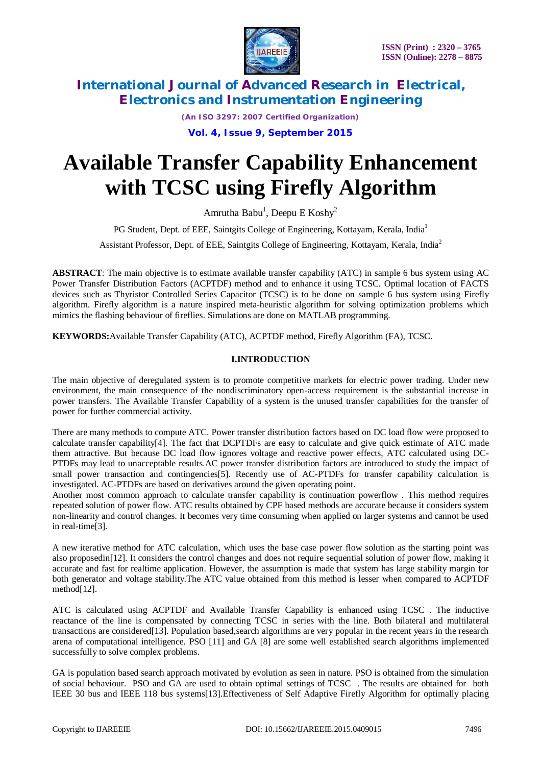

*(An ISO 3297: 2007 Certified Organization)*

**Vol. 4, Issue 9, September 2015**

# **Available Transfer Capability Enhancement with TCSC using Firefly Algorithm**

Amrutha Babu<sup>1</sup>, Deepu E Koshy<sup>2</sup>

PG Student, Dept. of EEE, Saintgits College of Engineering, Kottayam, Kerala, India<sup>1</sup>

Assistant Professor, Dept. of EEE, Saintgits College of Engineering, Kottayam, Kerala, India<sup>2</sup>

**ABSTRACT**: The main objective is to estimate available transfer capability (ATC) in sample 6 bus system using AC Power Transfer Distribution Factors (ACPTDF) method and to enhance it using TCSC. Optimal location of FACTS devices such as Thyristor Controlled Series Capacitor (TCSC) is to be done on sample 6 bus system using Firefly algorithm. Firefly algorithm is a nature inspired meta-heuristic algorithm for solving optimization problems which mimics the flashing behaviour of fireflies. Simulations are done on MATLAB programming.

**KEYWORDS:**Available Transfer Capability (ATC), ACPTDF method, Firefly Algorithm (FA), TCSC.

### **I.INTRODUCTION**

The main objective of deregulated system is to promote competitive markets for electric power trading. Under new environment, the main consequence of the nondiscriminatory open-access requirement is the substantial increase in power transfers. The Available Transfer Capability of a system is the unused transfer capabilities for the transfer of power for further commercial activity.

There are many methods to compute ATC. Power transfer distribution factors based on DC load flow were proposed to calculate transfer capability[4]. The fact that DCPTDFs are easy to calculate and give quick estimate of ATC made them attractive. But because DC load flow ignores voltage and reactive power effects, ATC calculated using DC-PTDFs may lead to unacceptable results.AC power transfer distribution factors are introduced to study the impact of small power transaction and contingencies[5]. Recently use of AC-PTDFs for transfer capability calculation is investigated. AC-PTDFs are based on derivatives around the given operating point.

Another most common approach to calculate transfer capability is continuation powerflow . This method requires repeated solution of power flow. ATC results obtained by CPF based methods are accurate because it considers system non-linearity and control changes. It becomes very time consuming when applied on larger systems and cannot be used in real-time[3].

A new iterative method for ATC calculation, which uses the base case power flow solution as the starting point was also proposedin[12]. It considers the control changes and does not require sequential solution of power flow, making it accurate and fast for realtime application. However, the assumption is made that system has large stability margin for both generator and voltage stability.The ATC value obtained from this method is lesser when compared to ACPTDF method[12].

ATC is calculated using ACPTDF and Available Transfer Capability is enhanced using TCSC . The inductive reactance of the line is compensated by connecting TCSC in series with the line. Both bilateral and multilateral transactions are considered[13]. Population based,search algorithms are very popular in the recent years in the research arena of computational intelligence. PSO [11] and GA [8] are some well established search algorithms implemented successfully to solve complex problems.

GA is population based search approach motivated by evolution as seen in nature. PSO is obtained from the simulation of social behaviour. PSO and GA are used to obtain optimal settings of TCSC . The results are obtained for both IEEE 30 bus and IEEE 118 bus systems[13].Effectiveness of Self Adaptive Firefly Algorithm for optimally placing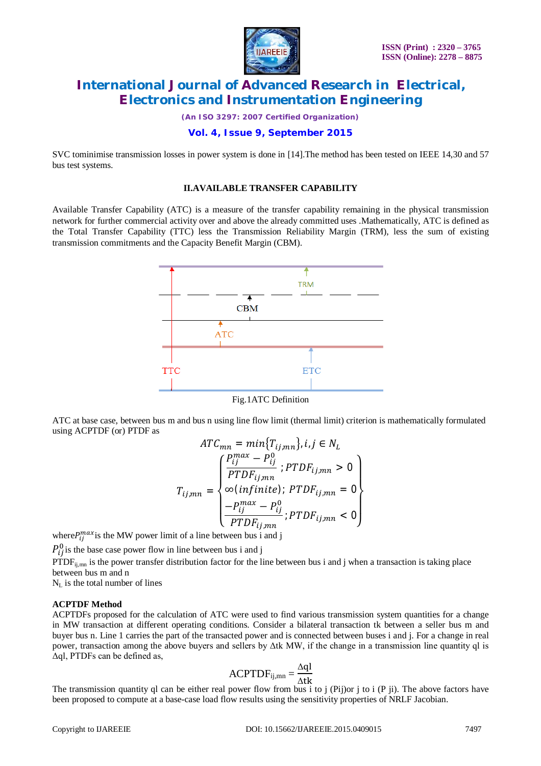

*(An ISO 3297: 2007 Certified Organization)*

## **Vol. 4, Issue 9, September 2015**

SVC tominimise transmission losses in power system is done in [14].The method has been tested on IEEE 14,30 and 57 bus test systems.

#### **II.AVAILABLE TRANSFER CAPABILITY**

Available Transfer Capability (ATC) is a measure of the transfer capability remaining in the physical transmission network for further commercial activity over and above the already committed uses .Mathematically, ATC is defined as the Total Transfer Capability (TTC) less the Transmission Reliability Margin (TRM), less the sum of existing transmission commitments and the Capacity Benefit Margin (CBM).



Fig.1ATC Definition

ATC at base case, between bus m and bus n using line flow limit (thermal limit) criterion is mathematically formulated using ACPTDF (or) PTDF as

$$
ATC_{mn} = min\{T_{ij,mn}\}, i, j \in N_L
$$
\n
$$
T_{ij,mn} = \begin{cases} \frac{P_{ij}^{max} - P_{ij}^0}{PTDF_{ij,mn}}; PTDF_{ij,mn} > 0\\ \infty (infinite); PTDF_{ij,mn} = 0\\ \frac{-P_{ij}^{max} - P_{ij}^0}{PTDF_{ij,mn}}; PTDF_{ij,mn} < 0 \end{cases}
$$

where  $P_{ij}^{max}$  is the MW power limit of a line between bus i and j

 $P_{ij}^0$  is the base case power flow in line between bus i and j

PTDF<sub>ij,mn</sub> is the power transfer distribution factor for the line between bus i and j when a transaction is taking place between bus m and n

 $N_L$  is the total number of lines

#### **ACPTDF Method**

ACPTDFs proposed for the calculation of ATC were used to find various transmission system quantities for a change in MW transaction at different operating conditions. Consider a bilateral transaction tk between a seller bus m and buyer bus n. Line 1 carries the part of the transacted power and is connected between buses i and j. For a change in real power, transaction among the above buyers and sellers by Δtk MW, if the change in a transmission line quantity ql is Δql, PTDFs can be defined as,

$$
ACPTDF_{ij,mn} = \frac{\Delta q l}{\Delta tk}
$$

The transmission quantity ql can be either real power flow from bus i to j (Pij)or j to i (P ji). The above factors have been proposed to compute at a base-case load flow results using the sensitivity properties of NRLF Jacobian.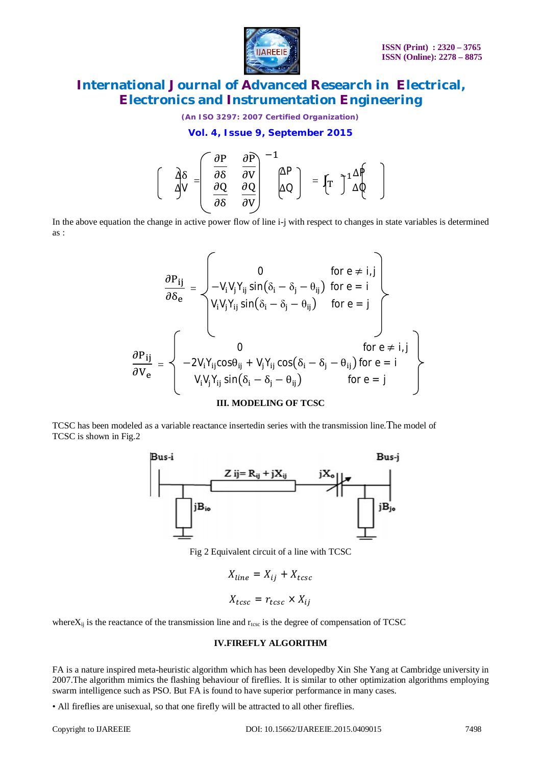

*(An ISO 3297: 2007 Certified Organization)*

**Vol. 4, Issue 9, September 2015**

$$
\left[\begin{array}{cc} \frac{\partial \delta}{\partial v} = \begin{bmatrix} \frac{\partial P}{\partial \delta} & \frac{\partial P}{\partial v} \\ \frac{\partial Q}{\partial \delta} & \frac{\partial Q}{\partial v} \end{bmatrix}^{-1} \begin{bmatrix} \Delta P \\ \Delta Q \end{bmatrix} \end{array} = \left[\begin{matrix} T \end{matrix}\right]^1 \begin{array}{c} \Delta P \\ \Delta Q \end{array}\right]
$$

In the above equation the change in active power flow of line i-j with respect to changes in state variables is determined as :

$$
\frac{\partial P_{ij}}{\partial \delta_e} = \n\begin{cases}\n0 & \text{for } e \neq i, j \\
-V_i V_j Y_{ij} \sin(\delta_i - \delta_j - \theta_{ij}) & \text{for } e = i \\
V_i V_j Y_{ij} \sin(\delta_i - \delta_j - \theta_{ij}) & \text{for } e = j\n\end{cases}
$$
\n
$$
\frac{\partial P_{ij}}{\partial V_e} = \n\begin{cases}\n0 & \text{for } e \neq i, j \\
-2V_i Y_{ij} \cos\theta_{ij} + V_j Y_{ij} \cos(\delta_i - \delta_j - \theta_{ij}) & \text{for } e = i \\
V_i V_j Y_{ij} \sin(\delta_i - \delta_j - \theta_{ij}) & \text{for } e = j\n\end{cases}
$$

#### **III. MODELING OF TCSC**

TCSC has been modeled as a variable reactance insertedin series with the transmission line.The model of TCSC is shown in Fig.2



Fig 2 Equivalent circuit of a line with TCSC

$$
X_{line} = X_{ij} + X_{tcsc}
$$

$$
X_{tcsc} = r_{tcsc} \times X_{ij}
$$

where $X_{ii}$  is the reactance of the transmission line and  $r_{\text{tesc}}$  is the degree of compensation of TCSC

#### **IV.FIREFLY ALGORITHM**

FA is a nature inspired meta-heuristic algorithm which has been developedby Xin She Yang at Cambridge university in 2007.The algorithm mimics the flashing behaviour of fireflies. It is similar to other optimization algorithms employing swarm intelligence such as PSO. But FA is found to have superior performance in many cases.

• All fireflies are unisexual, so that one firefly will be attracted to all other fireflies.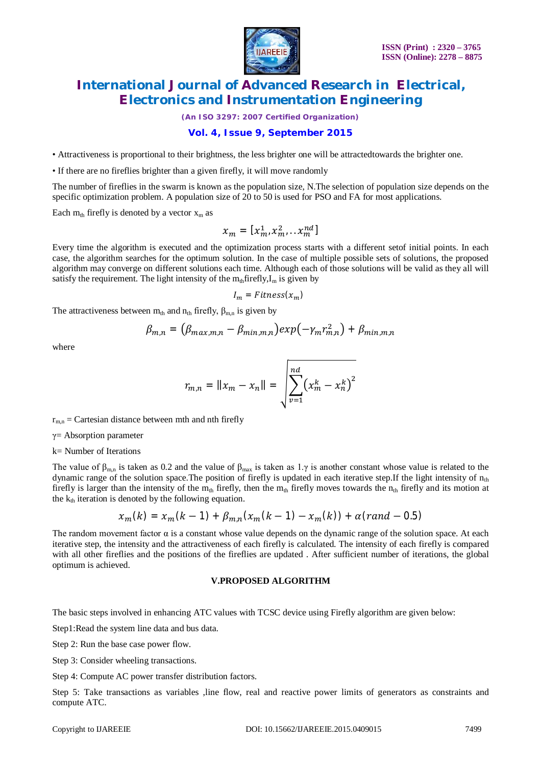

*(An ISO 3297: 2007 Certified Organization)*

### **Vol. 4, Issue 9, September 2015**

• Attractiveness is proportional to their brightness, the less brighter one will be attractedtowards the brighter one.

• If there are no fireflies brighter than a given firefly, it will move randomly

The number of fireflies in the swarm is known as the population size, N.The selection of population size depends on the specific optimization problem. A population size of 20 to 50 is used for PSO and FA for most applications.

Each  $m_{th}$  firefly is denoted by a vector  $x_m$  as

$$
x_m = [x_m^1, x_m^2, \ldots, x_m^{nd}]
$$

Every time the algorithm is executed and the optimization process starts with a different setof initial points. In each case, the algorithm searches for the optimum solution. In the case of multiple possible sets of solutions, the proposed algorithm may converge on different solutions each time. Although each of those solutions will be valid as they all will satisfy the requirement. The light intensity of the  $m_{th}$  firefly,  $I_m$  is given by

$$
I_m = \textit{Fitness}(x_m)
$$

The attractiveness between  $m_{th}$  and  $n_{th}$  firefly,  $\beta_{m,n}$  is given by

$$
\beta_{m,n} = (\beta_{max,m,n} - \beta_{min,m,n}) exp(-\gamma_m r_{m,n}^2) + \beta_{min,m,n}
$$

where

$$
r_{m,n} = ||x_m - x_n|| = \sqrt{\sum_{\nu=1}^{nd} (x_m^k - x_n^k)^2}
$$

 $r_{m,n}$  = Cartesian distance between mth and nth firefly

 $\gamma$ = Absorption parameter

k= Number of Iterations

The value of  $\beta_{m,n}$  is taken as 0.2 and the value of  $\beta_{max}$  is taken as 1.γ is another constant whose value is related to the dynamic range of the solution space. The position of firefly is updated in each iterative step. If the light intensity of  $n_{th}$ firefly is larger than the intensity of the  $m_{th}$  firefly, then the  $m_{th}$  firefly moves towards the  $n_{th}$  firefly and its motion at the  $k_{th}$  iteration is denoted by the following equation.

$$
x_m(k) = x_m(k-1) + \beta_{m,n}(x_m(k-1) - x_m(k)) + \alpha (rand - 0.5)
$$

The random movement factor α is a constant whose value depends on the dynamic range of the solution space. At each iterative step, the intensity and the attractiveness of each firefly is calculated. The intensity of each firefly is compared with all other fireflies and the positions of the fireflies are updated . After sufficient number of iterations, the global optimum is achieved.

#### **V.PROPOSED ALGORITHM**

The basic steps involved in enhancing ATC values with TCSC device using Firefly algorithm are given below:

Step1:Read the system line data and bus data.

Step 2: Run the base case power flow.

Step 3: Consider wheeling transactions.

Step 4: Compute AC power transfer distribution factors.

Step 5: Take transactions as variables line flow, real and reactive power limits of generators as constraints and compute ATC.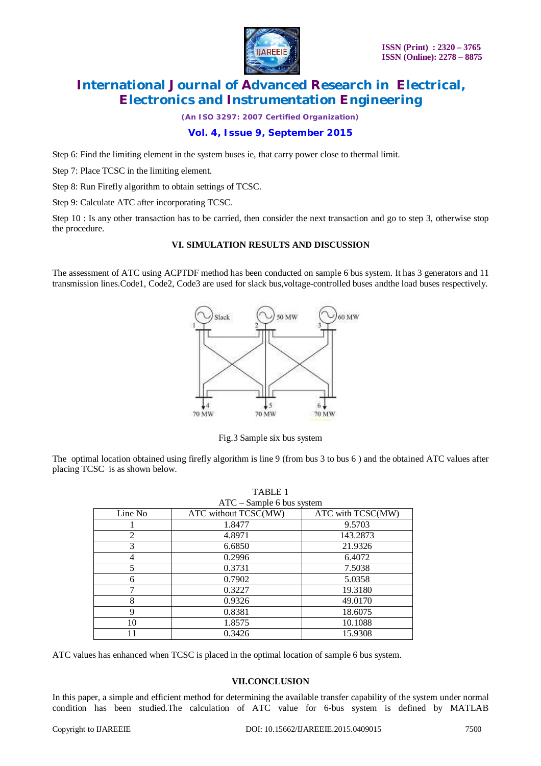

*(An ISO 3297: 2007 Certified Organization)*

### **Vol. 4, Issue 9, September 2015**

Step 6: Find the limiting element in the system buses ie, that carry power close to thermal limit.

Step 7: Place TCSC in the limiting element.

Step 8: Run Firefly algorithm to obtain settings of TCSC.

Step 9: Calculate ATC after incorporating TCSC.

Step 10 : Is any other transaction has to be carried, then consider the next transaction and go to step 3, otherwise stop the procedure.

### **VI. SIMULATION RESULTS AND DISCUSSION**

The assessment of ATC using ACPTDF method has been conducted on sample 6 bus system. It has 3 generators and 11 transmission lines.Code1, Code2, Code3 are used for slack bus,voltage-controlled buses andthe load buses respectively.



Fig.3 Sample six bus system

The optimal location obtained using firefly algorithm is line 9 (from bus 3 to bus 6 ) and the obtained ATC values after placing TCSC is as shown below.

| TABLE 1                     |                      |                   |
|-----------------------------|----------------------|-------------------|
| $ATC - Sample 6$ bus system |                      |                   |
| Line No                     | ATC without TCSC(MW) | ATC with TCSC(MW) |
|                             | 1.8477               | 9.5703            |
| $\overline{2}$              | 4.8971               | 143.2873          |
| 3                           | 6.6850               | 21.9326           |
| 4                           | 0.2996               | 6.4072            |
| 5                           | 0.3731               | 7.5038            |
| 6                           | 0.7902               | 5.0358            |
| 7                           | 0.3227               | 19.3180           |
| 8                           | 0.9326               | 49.0170           |
| $\mathbf Q$                 | 0.8381               | 18.6075           |
| 10                          | 1.8575               | 10.1088           |
| 11                          | 0.3426               | 15.9308           |

ATC values has enhanced when TCSC is placed in the optimal location of sample 6 bus system.

### **VII.CONCLUSION**

In this paper, a simple and efficient method for determining the available transfer capability of the system under normal condition has been studied.The calculation of ATC value for 6-bus system is defined by MATLAB